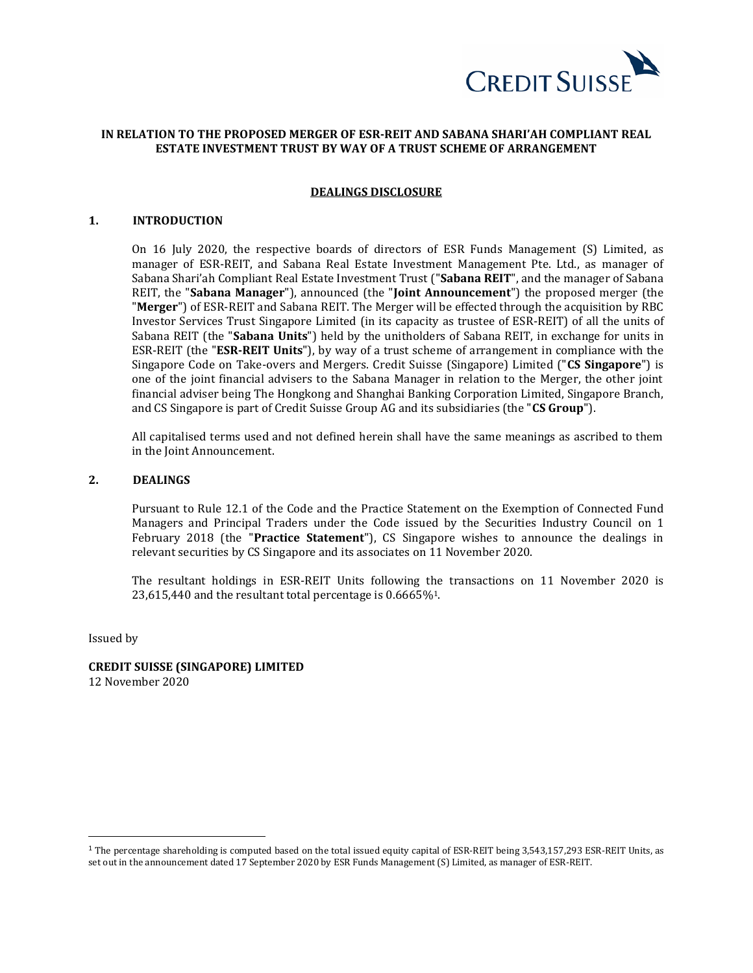

# **IN RELATION TO THE PROPOSED MERGER OF ESR-REIT AND SABANA SHARI'AH COMPLIANT REAL ESTATE INVESTMENT TRUST BY WAY OF A TRUST SCHEME OF ARRANGEMENT**

#### **DEALINGS DISCLOSURE**

### **1. INTRODUCTION**

On 16 July 2020, the respective boards of directors of ESR Funds Management (S) Limited, as manager of ESR-REIT, and Sabana Real Estate Investment Management Pte. Ltd., as manager of Sabana Shari'ah Compliant Real Estate Investment Trust ("**Sabana REIT**", and the manager of Sabana REIT, the "**Sabana Manager**"), announced (the "**Joint Announcement**") the proposed merger (the "**Merger**") of ESR-REIT and Sabana REIT. The Merger will be effected through the acquisition by RBC Investor Services Trust Singapore Limited (in its capacity as trustee of ESR-REIT) of all the units of Sabana REIT (the "**Sabana Units**") held by the unitholders of Sabana REIT, in exchange for units in ESR-REIT (the "**ESR-REIT Units**"), by way of a trust scheme of arrangement in compliance with the Singapore Code on Take-overs and Mergers. Credit Suisse (Singapore) Limited ("**CS Singapore**") is one of the joint financial advisers to the Sabana Manager in relation to the Merger, the other joint financial adviser being The Hongkong and Shanghai Banking Corporation Limited, Singapore Branch, and CS Singapore is part of Credit Suisse Group AG and its subsidiaries (the "**CS Group**").

All capitalised terms used and not defined herein shall have the same meanings as ascribed to them in the Joint Announcement.

# **2. DEALINGS**

Pursuant to Rule 12.1 of the Code and the Practice Statement on the Exemption of Connected Fund Managers and Principal Traders under the Code issued by the Securities Industry Council on 1 February 2018 (the "**Practice Statement**"), CS Singapore wishes to announce the dealings in relevant securities by CS Singapore and its associates on 11 November 2020.

The resultant holdings in ESR-REIT Units following the transactions on 11 November 2020 is 23,615,440 and the resultant total percentage is 0.6665%1.

Issued by

**CREDIT SUISSE (SINGAPORE) LIMITED** 12 November 2020

<sup>&</sup>lt;sup>1</sup> The percentage shareholding is computed based on the total issued equity capital of ESR-REIT being 3,543,157,293 ESR-REIT Units, as set out in the announcement dated 17 September 2020 by ESR Funds Management (S) Limited, as manager of ESR-REIT.